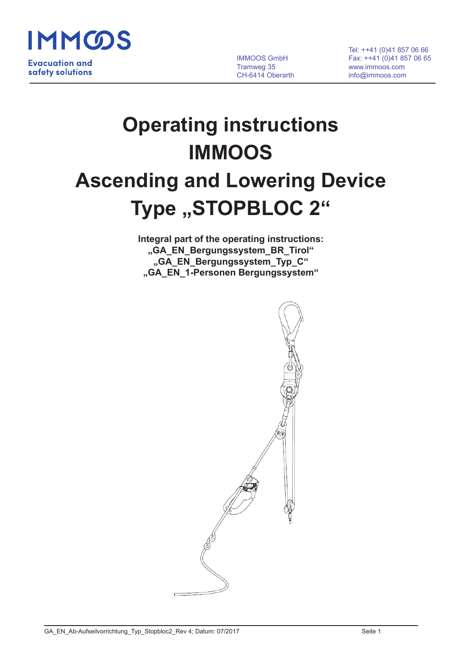

 Tel: ++41 (0)41 857 06 66 IMMOOS GmbH Fax: ++41 (0)41 857 06 65 Tramweg 35 www.immoos.com CH-6414 Oberarth info@immoos.com

# **Operating instructions IMMOOS**

# **Ascending and Lowering Device** Type "STOPBLOC 2"

**Integral part of the operating instructions: "GA\_EN\_Bergungssystem\_BR\_Tirol" "GA\_EN\_Bergungssystem\_Typ\_C" "GA\_EN\_1-Personen Bergungssystem"**

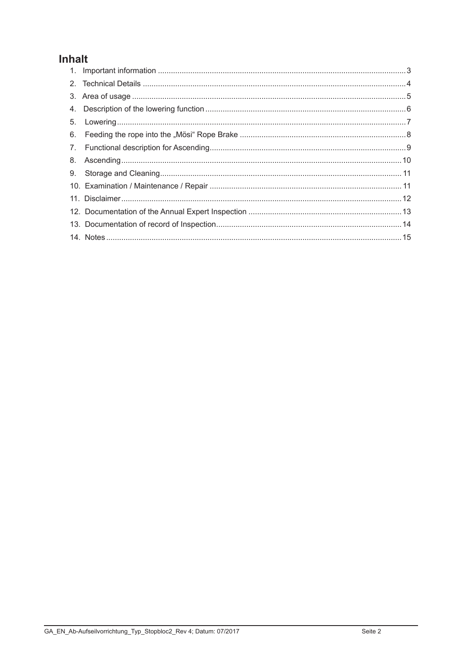### Inhalt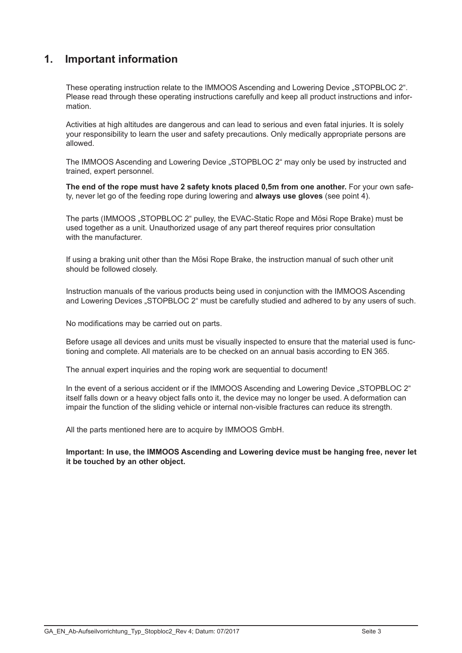#### **1. Important information**

These operating instruction relate to the IMMOOS Ascending and Lowering Device "STOPBLOC 2". Please read through these operating instructions carefully and keep all product instructions and information.

Activities at high altitudes are dangerous and can lead to serious and even fatal injuries. It is solely your responsibility to learn the user and safety precautions. Only medically appropriate persons are allowed.

The IMMOOS Ascending and Lowering Device "STOPBLOC 2" may only be used by instructed and trained, expert personnel.

**The end of the rope must have 2 safety knots placed 0,5m from one another.** For your own safety, never let go of the feeding rope during lowering and **always use gloves** (see point 4).

The parts (IMMOOS "STOPBLOC 2" pulley, the EVAC-Static Rope and Mösi Rope Brake) must be used together as a unit. Unauthorized usage of any part thereof requires prior consultation with the manufacturer.

If using a braking unit other than the Mösi Rope Brake, the instruction manual of such other unit should be followed closely.

Instruction manuals of the various products being used in conjunction with the IMMOOS Ascending and Lowering Devices "STOPBLOC 2" must be carefully studied and adhered to by any users of such.

No modifications may be carried out on parts.

Before usage all devices and units must be visually inspected to ensure that the material used is functioning and complete. All materials are to be checked on an annual basis according to EN 365.

The annual expert inquiries and the roping work are sequential to document!

In the event of a serious accident or if the IMMOOS Ascending and Lowering Device "STOPBLOC 2" itself falls down or a heavy object falls onto it, the device may no longer be used. A deformation can impair the function of the sliding vehicle or internal non-visible fractures can reduce its strength.

All the parts mentioned here are to acquire by IMMOOS GmbH.

**Important: In use, the IMMOOS Ascending and Lowering device must be hanging free, never let it be touched by an other object.**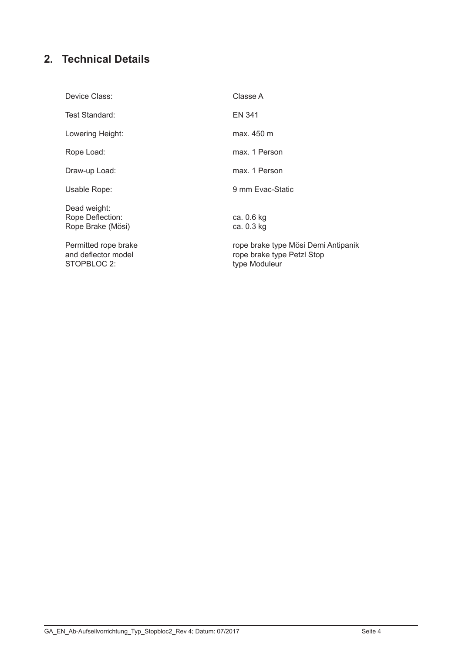## **2. Technical Details**

| Device Class:                                              | Classe A                                                                           |
|------------------------------------------------------------|------------------------------------------------------------------------------------|
| Test Standard:                                             | EN 341                                                                             |
| Lowering Height:                                           | max. 450 m                                                                         |
| Rope Load:                                                 | max. 1 Person                                                                      |
| Draw-up Load:                                              | max. 1 Person                                                                      |
| Usable Rope:                                               | 9 mm Evac-Static                                                                   |
| Dead weight:<br>Rope Deflection:<br>Rope Brake (Mösi)      | ca. 0.6 kg<br>ca. 0.3 kg                                                           |
| Permitted rope brake<br>and deflector model<br>STOPBLOC 2: | rope brake type Mösi Demi Antipanik<br>rope brake type Petzl Stop<br>type Moduleur |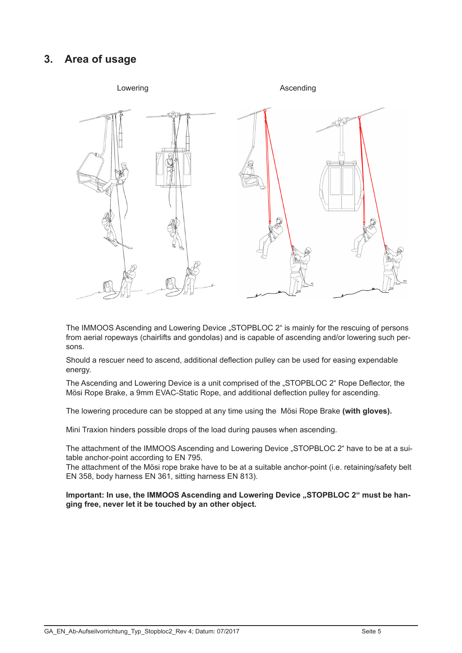#### **3. Area of usage**



The IMMOOS Ascending and Lowering Device "STOPBLOC 2" is mainly for the rescuing of persons from aerial ropeways (chairlifts and gondolas) and is capable of ascending and/or lowering such persons.

Should a rescuer need to ascend, additional deflection pulley can be used for easing expendable energy.

The Ascending and Lowering Device is a unit comprised of the "STOPBLOC 2" Rope Deflector, the Mösi Rope Brake, a 9mm EVAC-Static Rope, and additional deflection pulley for ascending.

The lowering procedure can be stopped at any time using the Mösi Rope Brake **(with gloves).**

Mini Traxion hinders possible drops of the load during pauses when ascending.

The attachment of the IMMOOS Ascending and Lowering Device "STOPBLOC 2" have to be at a suitable anchor-point according to EN 795.

The attachment of the Mösi rope brake have to be at a suitable anchor-point (i.e. retaining/safety belt EN 358, body harness EN 361, sitting harness EN 813).

Important: In use, the IMMOOS Ascending and Lowering Device "STOPBLOC 2" must be han**ging free, never let it be touched by an other object.**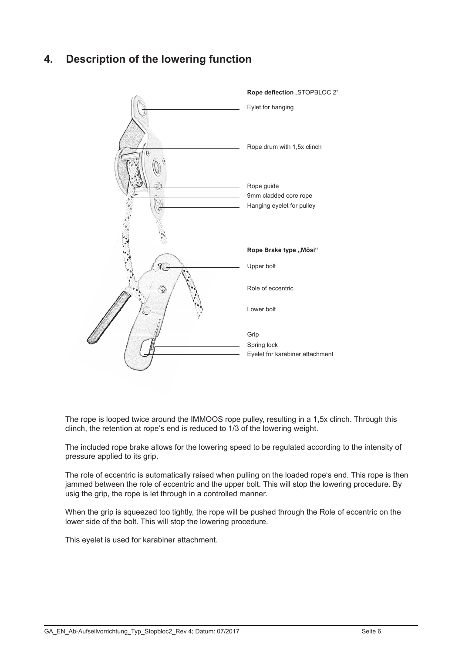#### **4. Description of the lowering function**



The rope is looped twice around the IMMOOS rope pulley, resulting in a 1,5x clinch. Through this clinch, the retention at rope's end is reduced to 1/3 of the lowering weight.

The included rope brake allows for the lowering speed to be regulated according to the intensity of pressure applied to its grip.

The role of eccentric is automatically raised when pulling on the loaded rope's end. This rope is then jammed between the role of eccentric and the upper bolt. This will stop the lowering procedure. By usig the grip, the rope is let through in a controlled manner.

When the grip is squeezed too tightly, the rope will be pushed through the Role of eccentric on the lower side of the bolt. This will stop the lowering procedure.

This eyelet is used for karabiner attachment.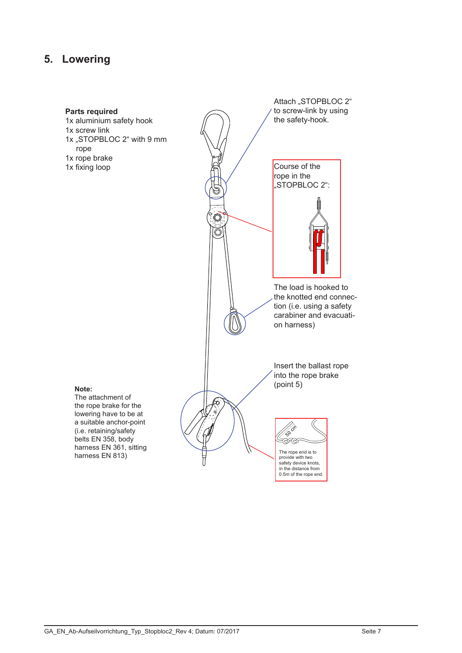#### **5. Lowering**

#### Attach "STOPBLOC 2" **Parts required** to screw-link by using 1x aluminium safety hook the safety-hook. 1x screw link 1x "STOPBLOC 2" with 9 mm rope 1x rope brake Course of the 1x fixing loop rope in the "STOPBLOC 2":  $\bar{\bar{C}}$ The load is hooked to the knotted end connection (i.e. using a safety carabiner and evacuation harness) Insert the ballast rope into the rope brake (point 5)**Note:** The attachment of the rope brake for the lowering have to be at a suitable anchor-point **Assistant** (i.e. retaining/safety belts EN 358, body .<br>€ harness EN 361, sitting harness EN 813) provide with two safety device knots, in the distance from 0.5m of the rope end.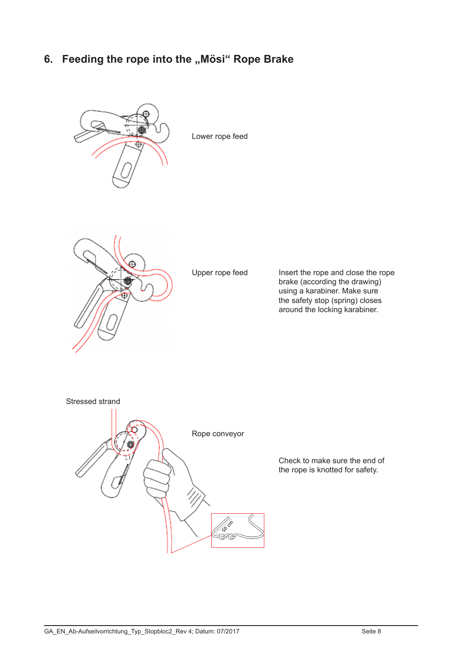#### 6. Feeding the rope into the "Mösi" Rope Brake



Lower rope feed



Upper rope feed

Insert the rope and close the rope brake (according the drawing) using a karabiner. Make sure the safety stop (spring) closes around the locking karabiner.



Check to make sure the end of the rope is knotted for safety.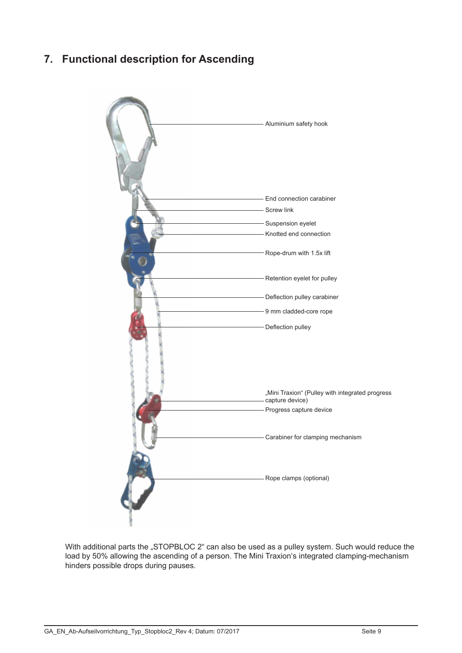#### **7. Functional description for Ascending**



With additional parts the "STOPBLOC 2" can also be used as a pulley system. Such would reduce the load by 50% allowing the ascending of a person. The Mini Traxion's integrated clamping-mechanism hinders possible drops during pauses.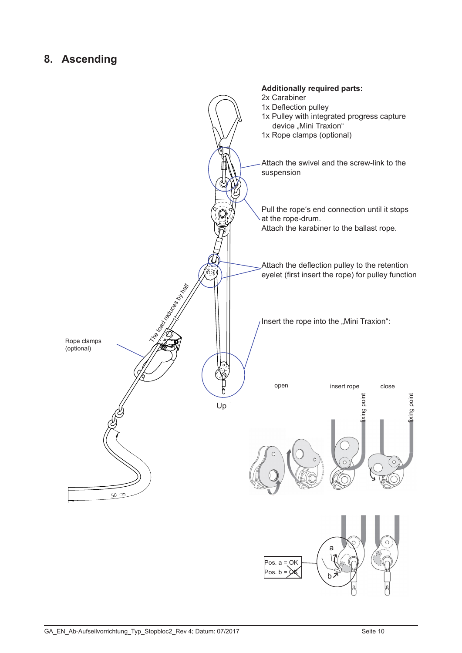#### **8. Ascending**

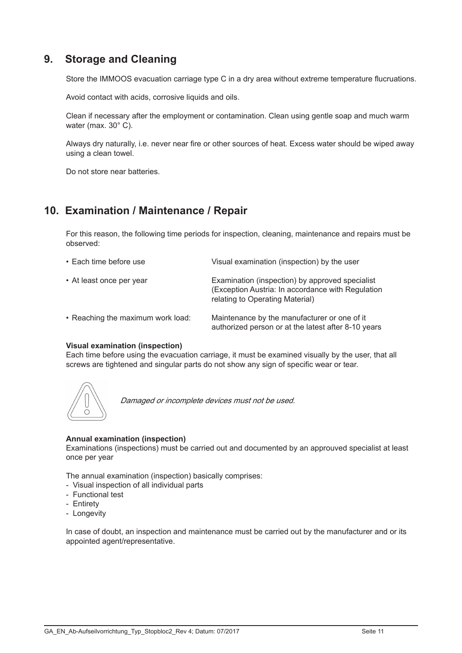#### **9. Storage and Cleaning**

Store the IMMOOS evacuation carriage type C in a dry area without extreme temperature flucruations.

Avoid contact with acids, corrosive liquids and oils.

Clean if necessary after the employment or contamination. Clean using gentle soap and much warm water (max. 30° C).

Always dry naturally, i.e. never near fire or other sources of heat. Excess water should be wiped away using a clean towel.

Do not store near batteries.

#### **10. Examination / Maintenance / Repair**

For this reason, the following time periods for inspection, cleaning, maintenance and repairs must be observed:

| • Each time before use            | Visual examination (inspection) by the user                                                                                             |
|-----------------------------------|-----------------------------------------------------------------------------------------------------------------------------------------|
| • At least once per year          | Examination (inspection) by approved specialist<br>(Exception Austria: In accordance with Regulation<br>relating to Operating Material) |
| • Reaching the maximum work load: | Maintenance by the manufacturer or one of it<br>authorized person or at the latest after 8-10 years                                     |

#### **Visual examination (inspection)**

Each time before using the evacuation carriage, it must be examined visually by the user, that all screws are tightened and singular parts do not show any sign of specific wear or tear.



Damaged or incomplete devices must not be used.

#### **Annual examination (inspection)**

Examinations (inspections) must be carried out and documented by an approuved specialist at least once per year

The annual examination (inspection) basically comprises:

- Visual inspection of all individual parts
- Functional test
- Entirety
- Longevity

In case of doubt, an inspection and maintenance must be carried out by the manufacturer and or its appointed agent/representative.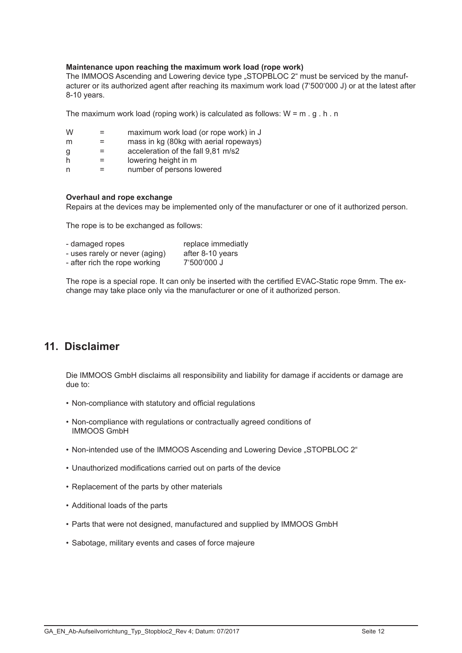#### **Maintenance upon reaching the maximum work load (rope work)**

The IMMOOS Ascending and Lowering device type . STOPBLOC 2<sup>"</sup> must be serviced by the manufacturer or its authorized agent after reaching its maximum work load (7'500'000 J) or at the latest after 8-10 years.

The maximum work load (roping work) is calculated as follows:  $W = m \cdot g \cdot h \cdot n$ 

| W |  | maximum work load (or rope work) in J |  |
|---|--|---------------------------------------|--|
|---|--|---------------------------------------|--|

- $m =$  mass in kg (80kg with aerial ropeways)
- $q =$  acceleration of the fall  $9.81 \text{ m/s2}$
- $h =$  lowering height in m
- n = number of persons lowered

#### **Overhaul and rope exchange**

Repairs at the devices may be implemented only of the manufacturer or one of it authorized person.

The rope is to be exchanged as follows:

| - damaged ropes                | replace immediatly |
|--------------------------------|--------------------|
| - uses rarely or never (aging) | after 8-10 years   |
| - after rich the rope working  | 7'500'000 J        |

The rope is a special rope. It can only be inserted with the certified EVAC-Static rope 9mm. The exchange may take place only via the manufacturer or one of it authorized person.

#### **11. Disclaimer**

Die IMMOOS GmbH disclaims all responsibility and liability for damage if accidents or damage are due to:

- Non-compliance with statutory and official regulations
- Non-compliance with regulations or contractually agreed conditions of IMMOOS GmbH
- Non-intended use of the IMMOOS Ascending and Lowering Device "STOPBLOC 2"
- Unauthorized modifications carried out on parts of the device
- Replacement of the parts by other materials
- Additional loads of the parts
- Parts that were not designed, manufactured and supplied by IMMOOS GmbH
- Sabotage, military events and cases of force majeure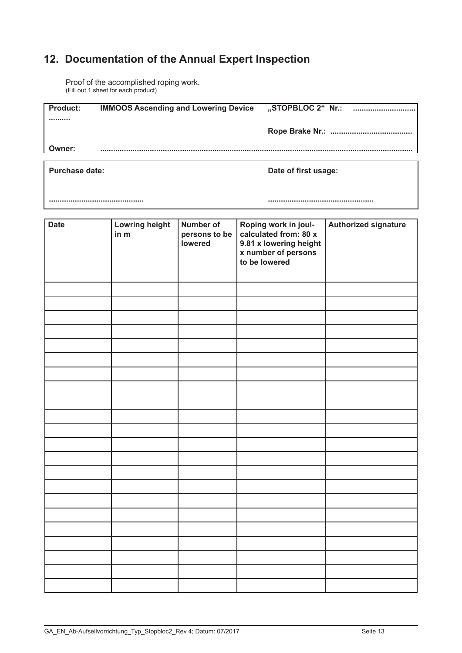## **12. Documentation of the Annual Expert Inspection**

Proof of the accomplished roping work. (Fill out 1 sheet for each product)

| <b>Product:</b> | <b>IMMOOS Ascending and Lowering Device</b> | "STOPBLOC 2"  Nr.:<br> |
|-----------------|---------------------------------------------|------------------------|
|                 |                                             |                        |
|                 |                                             |                        |
| Owner:          |                                             |                        |
|                 |                                             |                        |

**Purchase date: Purchase date: Date of first usage:** 

**............................................ .................................................**

| <b>Date</b> | Lowring height<br>in m | <b>Number of</b><br>persons to be<br>lowered | Roping work in joul-<br>calculated from: 80 x<br>9.81 x lowering height<br>x number of persons<br>to be lowered | Authorized signature |
|-------------|------------------------|----------------------------------------------|-----------------------------------------------------------------------------------------------------------------|----------------------|
|             |                        |                                              |                                                                                                                 |                      |
|             |                        |                                              |                                                                                                                 |                      |
|             |                        |                                              |                                                                                                                 |                      |
|             |                        |                                              |                                                                                                                 |                      |
|             |                        |                                              |                                                                                                                 |                      |
|             |                        |                                              |                                                                                                                 |                      |
|             |                        |                                              |                                                                                                                 |                      |
|             |                        |                                              |                                                                                                                 |                      |
|             |                        |                                              |                                                                                                                 |                      |
|             |                        |                                              |                                                                                                                 |                      |
|             |                        |                                              |                                                                                                                 |                      |
|             |                        |                                              |                                                                                                                 |                      |
|             |                        |                                              |                                                                                                                 |                      |
|             |                        |                                              |                                                                                                                 |                      |
|             |                        |                                              |                                                                                                                 |                      |
|             |                        |                                              |                                                                                                                 |                      |
|             |                        |                                              |                                                                                                                 |                      |
|             |                        |                                              |                                                                                                                 |                      |
|             |                        |                                              |                                                                                                                 |                      |
|             |                        |                                              |                                                                                                                 |                      |
|             |                        |                                              |                                                                                                                 |                      |
|             |                        |                                              |                                                                                                                 |                      |
|             |                        |                                              |                                                                                                                 |                      |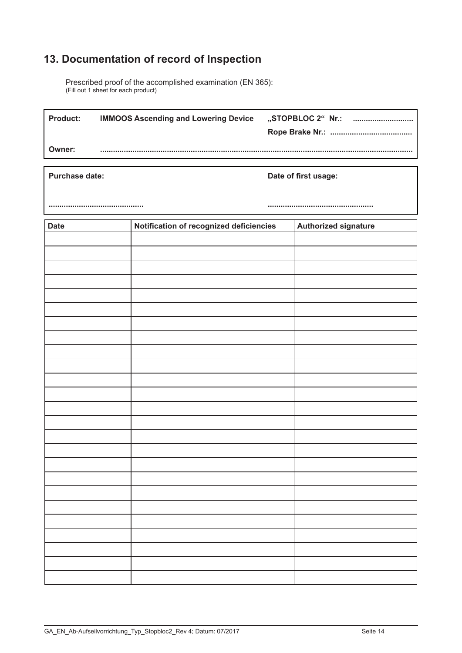## **13. Documentation of record of Inspection**

Prescribed proof of the accomplished examination (EN 365): (Fill out 1 sheet for each product)

| l Product: | <b>IMMOOS Ascending and Lowering Device</b> | "STOPBLOC 2" Nr.: |
|------------|---------------------------------------------|-------------------|
| Owner:     |                                             |                   |

**Purchase date: Date of first usage: Date of first usage:** 

**............................................ .................................................**

| <b>Date</b> | Notification of recognized deficiencies | <b>Authorized signature</b> |
|-------------|-----------------------------------------|-----------------------------|
|             |                                         |                             |
|             |                                         |                             |
|             |                                         |                             |
|             |                                         |                             |
|             |                                         |                             |
|             |                                         |                             |
|             |                                         |                             |
|             |                                         |                             |
|             |                                         |                             |
|             |                                         |                             |
|             |                                         |                             |
|             |                                         |                             |
|             |                                         |                             |
|             |                                         |                             |
|             |                                         |                             |
|             |                                         |                             |
|             |                                         |                             |
|             |                                         |                             |
|             |                                         |                             |
|             |                                         |                             |
|             |                                         |                             |
|             |                                         |                             |
|             |                                         |                             |
|             |                                         |                             |
|             |                                         |                             |
|             |                                         |                             |